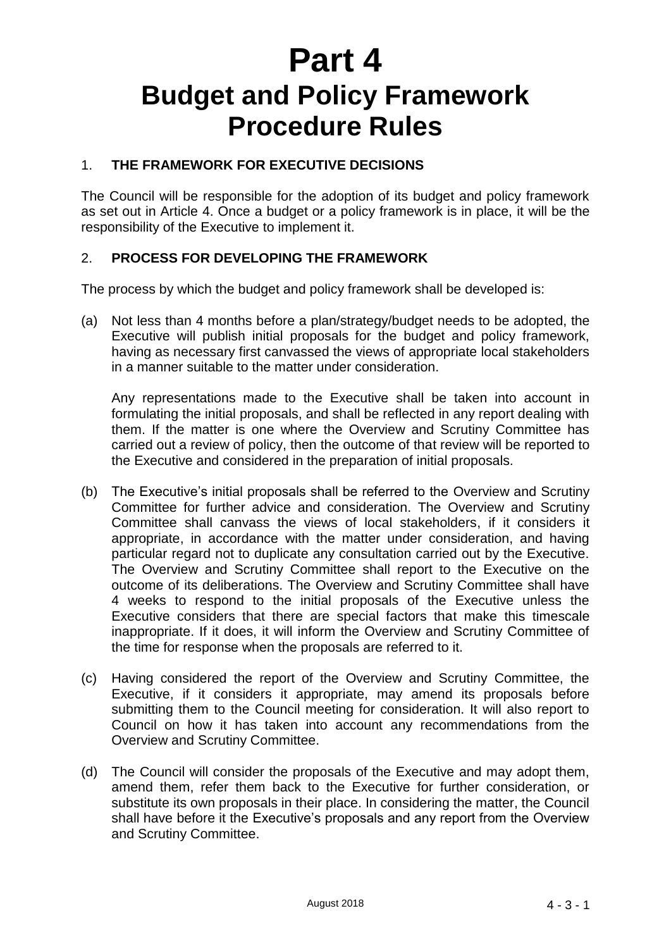# **Part 4 Budget and Policy Framework Procedure Rules**

## 1. **THE FRAMEWORK FOR EXECUTIVE DECISIONS**

The Council will be responsible for the adoption of its budget and policy framework as set out in Article 4. Once a budget or a policy framework is in place, it will be the responsibility of the Executive to implement it.

### 2. **PROCESS FOR DEVELOPING THE FRAMEWORK**

The process by which the budget and policy framework shall be developed is:

(a) Not less than 4 months before a plan/strategy/budget needs to be adopted, the Executive will publish initial proposals for the budget and policy framework, having as necessary first canvassed the views of appropriate local stakeholders in a manner suitable to the matter under consideration.

Any representations made to the Executive shall be taken into account in formulating the initial proposals, and shall be reflected in any report dealing with them. If the matter is one where the Overview and Scrutiny Committee has carried out a review of policy, then the outcome of that review will be reported to the Executive and considered in the preparation of initial proposals.

- (b) The Executive's initial proposals shall be referred to the Overview and Scrutiny Committee for further advice and consideration. The Overview and Scrutiny Committee shall canvass the views of local stakeholders, if it considers it appropriate, in accordance with the matter under consideration, and having particular regard not to duplicate any consultation carried out by the Executive. The Overview and Scrutiny Committee shall report to the Executive on the outcome of its deliberations. The Overview and Scrutiny Committee shall have 4 weeks to respond to the initial proposals of the Executive unless the Executive considers that there are special factors that make this timescale inappropriate. If it does, it will inform the Overview and Scrutiny Committee of the time for response when the proposals are referred to it.
- (c) Having considered the report of the Overview and Scrutiny Committee, the Executive, if it considers it appropriate, may amend its proposals before submitting them to the Council meeting for consideration. It will also report to Council on how it has taken into account any recommendations from the Overview and Scrutiny Committee.
- (d) The Council will consider the proposals of the Executive and may adopt them, amend them, refer them back to the Executive for further consideration, or substitute its own proposals in their place. In considering the matter, the Council shall have before it the Executive's proposals and any report from the Overview and Scrutiny Committee.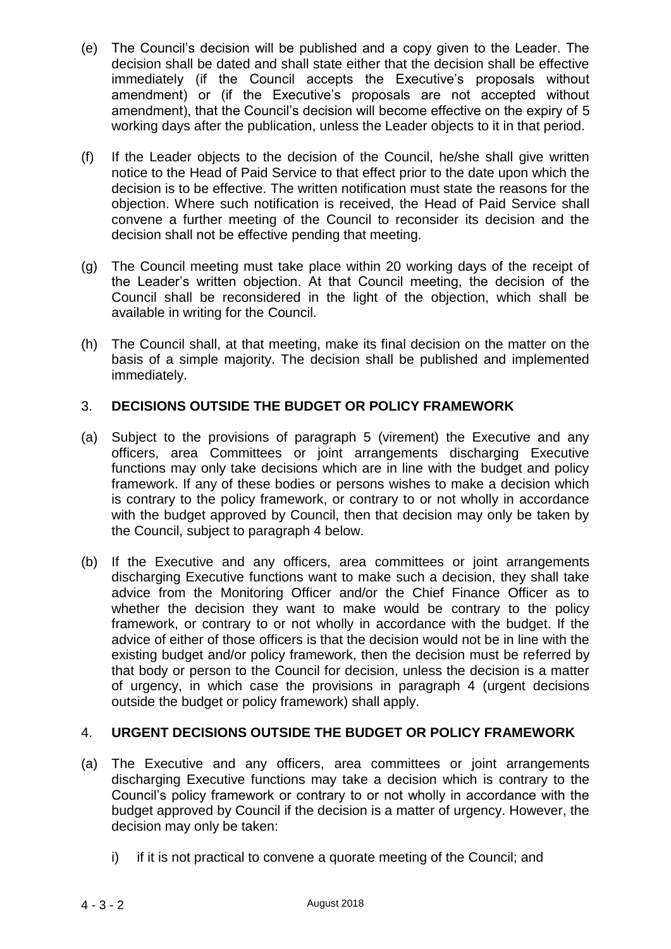- (e) The Council's decision will be published and a copy given to the Leader. The decision shall be dated and shall state either that the decision shall be effective immediately (if the Council accepts the Executive's proposals without amendment) or (if the Executive's proposals are not accepted without amendment), that the Council's decision will become effective on the expiry of 5 working days after the publication, unless the Leader objects to it in that period.
- (f) If the Leader objects to the decision of the Council, he/she shall give written notice to the Head of Paid Service to that effect prior to the date upon which the decision is to be effective. The written notification must state the reasons for the objection. Where such notification is received, the Head of Paid Service shall convene a further meeting of the Council to reconsider its decision and the decision shall not be effective pending that meeting.
- (g) The Council meeting must take place within 20 working days of the receipt of the Leader's written objection. At that Council meeting, the decision of the Council shall be reconsidered in the light of the objection, which shall be available in writing for the Council.
- (h) The Council shall, at that meeting, make its final decision on the matter on the basis of a simple majority. The decision shall be published and implemented immediately.

## 3. **DECISIONS OUTSIDE THE BUDGET OR POLICY FRAMEWORK**

- (a) Subject to the provisions of paragraph 5 (virement) the Executive and any officers, area Committees or joint arrangements discharging Executive functions may only take decisions which are in line with the budget and policy framework. If any of these bodies or persons wishes to make a decision which is contrary to the policy framework, or contrary to or not wholly in accordance with the budget approved by Council, then that decision may only be taken by the Council, subject to paragraph 4 below.
- (b) If the Executive and any officers, area committees or joint arrangements discharging Executive functions want to make such a decision, they shall take advice from the Monitoring Officer and/or the Chief Finance Officer as to whether the decision they want to make would be contrary to the policy framework, or contrary to or not wholly in accordance with the budget. If the advice of either of those officers is that the decision would not be in line with the existing budget and/or policy framework, then the decision must be referred by that body or person to the Council for decision, unless the decision is a matter of urgency, in which case the provisions in paragraph 4 (urgent decisions outside the budget or policy framework) shall apply.

## 4. **URGENT DECISIONS OUTSIDE THE BUDGET OR POLICY FRAMEWORK**

- (a) The Executive and any officers, area committees or joint arrangements discharging Executive functions may take a decision which is contrary to the Council's policy framework or contrary to or not wholly in accordance with the budget approved by Council if the decision is a matter of urgency. However, the decision may only be taken:
	- i) if it is not practical to convene a quorate meeting of the Council; and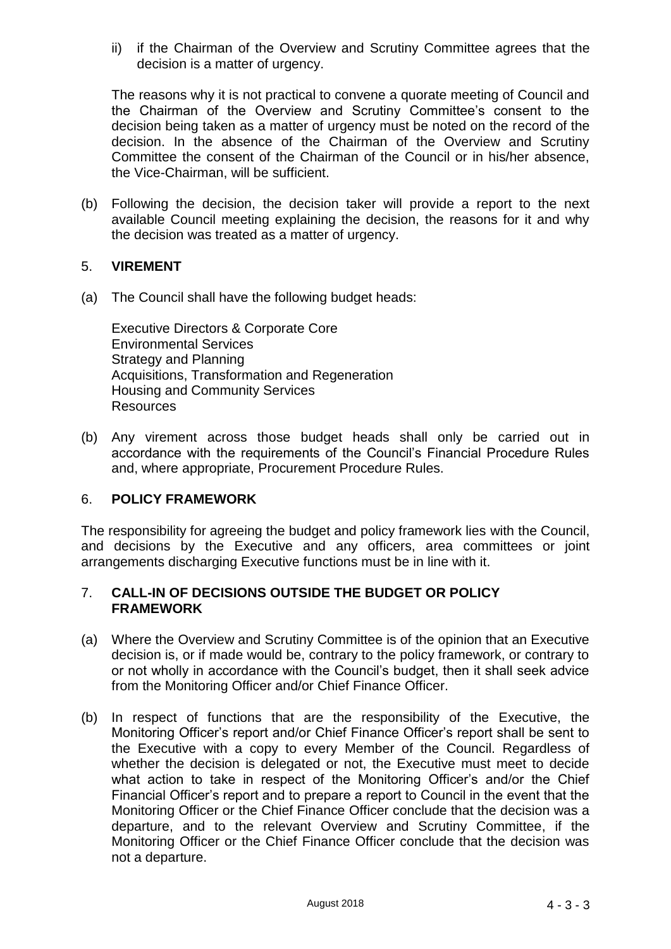ii) if the Chairman of the Overview and Scrutiny Committee agrees that the decision is a matter of urgency.

The reasons why it is not practical to convene a quorate meeting of Council and the Chairman of the Overview and Scrutiny Committee's consent to the decision being taken as a matter of urgency must be noted on the record of the decision. In the absence of the Chairman of the Overview and Scrutiny Committee the consent of the Chairman of the Council or in his/her absence, the Vice-Chairman, will be sufficient.

(b) Following the decision, the decision taker will provide a report to the next available Council meeting explaining the decision, the reasons for it and why the decision was treated as a matter of urgency.

### 5. **VIREMENT**

(a) The Council shall have the following budget heads:

Executive Directors & Corporate Core Environmental Services Strategy and Planning Acquisitions, Transformation and Regeneration Housing and Community Services **Resources** 

(b) Any virement across those budget heads shall only be carried out in accordance with the requirements of the Council's Financial Procedure Rules and, where appropriate, Procurement Procedure Rules.

#### 6. **POLICY FRAMEWORK**

The responsibility for agreeing the budget and policy framework lies with the Council, and decisions by the Executive and any officers, area committees or joint arrangements discharging Executive functions must be in line with it.

#### 7. **CALL-IN OF DECISIONS OUTSIDE THE BUDGET OR POLICY FRAMEWORK**

- (a) Where the Overview and Scrutiny Committee is of the opinion that an Executive decision is, or if made would be, contrary to the policy framework, or contrary to or not wholly in accordance with the Council's budget, then it shall seek advice from the Monitoring Officer and/or Chief Finance Officer.
- (b) In respect of functions that are the responsibility of the Executive, the Monitoring Officer's report and/or Chief Finance Officer's report shall be sent to the Executive with a copy to every Member of the Council. Regardless of whether the decision is delegated or not, the Executive must meet to decide what action to take in respect of the Monitoring Officer's and/or the Chief Financial Officer's report and to prepare a report to Council in the event that the Monitoring Officer or the Chief Finance Officer conclude that the decision was a departure, and to the relevant Overview and Scrutiny Committee, if the Monitoring Officer or the Chief Finance Officer conclude that the decision was not a departure.